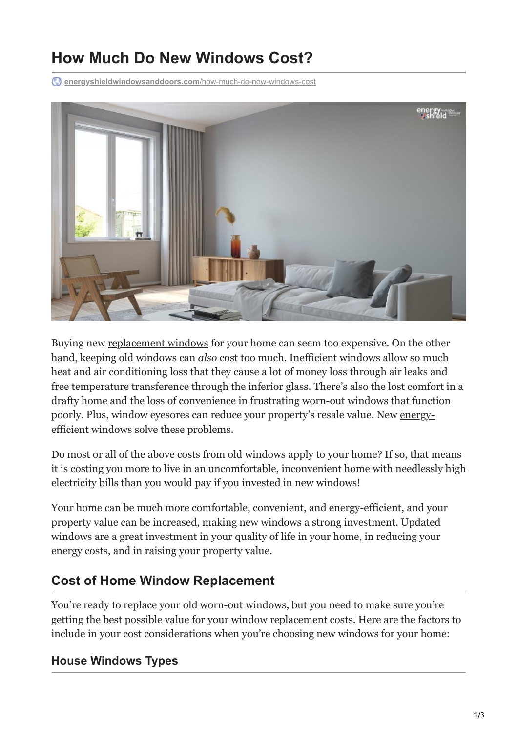# **How Much Do New Windows Cost?**

**[energyshieldwindowsanddoors.com](https://energyshieldwindowsanddoors.com/how-much-do-new-windows-cost/)**/how-much-do-new-windows-cost



Buying new [replacement windows](https://energyshieldwindowsanddoors.com/replacement-windows/) for your home can seem too expensive. On the other hand, keeping old windows can *also* cost too much. Inefficient windows allow so much heat and air conditioning loss that they cause a lot of money loss through air leaks and free temperature transference through the inferior glass. There's also the lost comfort in a drafty home and the loss of convenience in frustrating worn-out windows that function [poorly. Plus, window eyesores can reduce your property's resale value. New energy](https://energyshieldwindowsanddoors.com/how-to-be-sure-im-purchasing-energy-efficient-windows/)efficient windows solve these problems.

Do most or all of the above costs from old windows apply to your home? If so, that means it is costing you more to live in an uncomfortable, inconvenient home with needlessly high electricity bills than you would pay if you invested in new windows!

Your home can be much more comfortable, convenient, and energy-efficient, and your property value can be increased, making new windows a strong investment. Updated windows are a great investment in your quality of life in your home, in reducing your energy costs, and in raising your property value.

# **Cost of Home Window Replacement**

You're ready to replace your old worn-out windows, but you need to make sure you're getting the best possible value for your window replacement costs. Here are the factors to include in your cost considerations when you're choosing new windows for your home:

## **House Windows Types**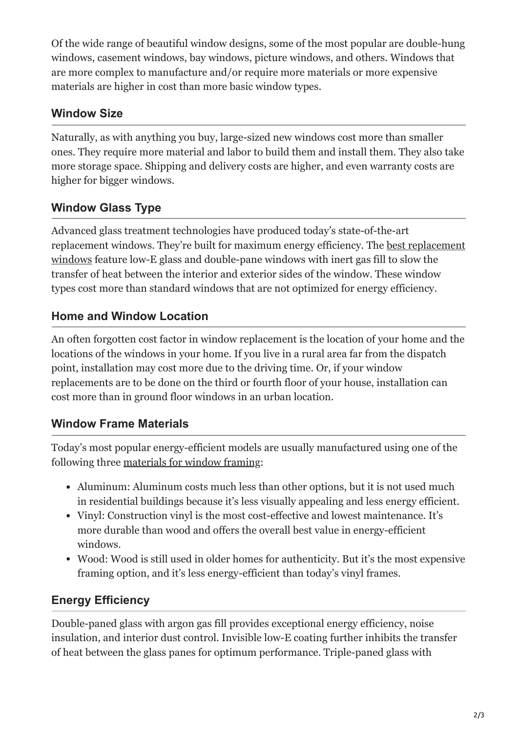Of the wide range of beautiful window designs, some of the most popular are double-hung windows, casement windows, bay windows, picture windows, and others. Windows that are more complex to manufacture and/or require more materials or more expensive materials are higher in cost than more basic window types.

## **Window Size**

Naturally, as with anything you buy, large-sized new windows cost more than smaller ones. They require more material and labor to build them and install them. They also take more storage space. Shipping and delivery costs are higher, and even warranty costs are higher for bigger windows.

# **Window Glass Type**

Advanced glass treatment technologies have produced today's state-of-the-art [replacement windows. They're built for maximum energy efficiency. The best replacement](https://energyshieldwindowsanddoors.com/best-energy-efficient-windows-for-hot-climates/) windows feature low-E glass and double-pane windows with inert gas fill to slow the transfer of heat between the interior and exterior sides of the window. These window types cost more than standard windows that are not optimized for energy efficiency.

## **Home and Window Location**

An often forgotten cost factor in window replacement is the location of your home and the locations of the windows in your home. If you live in a rural area far from the dispatch point, installation may cost more due to the driving time. Or, if your window replacements are to be done on the third or fourth floor of your house, installation can cost more than in ground floor windows in an urban location.

## **Window Frame Materials**

Today's most popular energy-efficient models are usually manufactured using one of the following three [materials for window framing](https://energyshieldwindowsanddoors.com/which-door-frame-is-best-for-my-home-wood-vinyl-or-aluminum/):

- Aluminum: Aluminum costs much less than other options, but it is not used much in residential buildings because it's less visually appealing and less energy efficient.
- Vinyl: Construction vinyl is the most cost-effective and lowest maintenance. It's more durable than wood and offers the overall best value in energy-efficient windows.
- Wood: Wood is still used in older homes for authenticity. But it's the most expensive framing option, and it's less energy-efficient than today's vinyl frames.

# **Energy Efficiency**

Double-paned glass with argon gas fill provides exceptional energy efficiency, noise insulation, and interior dust control. Invisible low-E coating further inhibits the transfer of heat between the glass panes for optimum performance. Triple-paned glass with